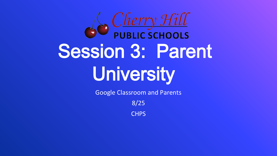

Google Classroom and Parents

8/25

**CHPS**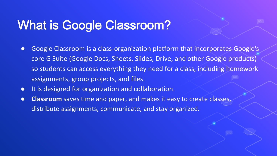### What is Google Classroom?

- Google Classroom is a class-organization platform that incorporates Google's core G Suite (Google Docs, Sheets, Slides, Drive, and other Google products) so students can access everything they need for a class, including homework assignments, group projects, and files.
- It is designed for organization and collaboration.
- **Classroom** saves time and paper, and makes it easy to create classes, distribute assignments, communicate, and stay organized.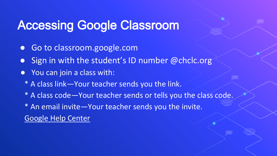#### Accessing Google Classroom

- Go to classroom.google.com
- Sign in with the student's ID number @chclc.org
- You can join a class with:
	- \* A class link—Your teacher sends you the link.
	- \* A class code—Your teacher sends or tells you the class code.
	- \* An email invite—Your teacher sends you the invite. [Google Help Center](https://support.google.com/edu/classroom/answer/6020297?co=GENIE.Platform%3DDesktop&hl=en)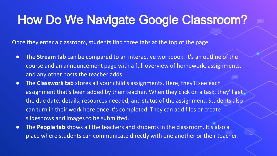#### How Do We Navigate Google Classroom?

Once they enter a classroom, students find three tabs at the top of the page.

- The **Stream tab** can be compared to an interactive workbook. It's an outline of the course and an announcement page with a full overview of homework, assignments, and any other posts the teacher adds.
- The **Classwork tab** stores all your child's assignments. Here, they'll see each assignment that's been added by their teacher. When they click on a task, they'll get the due date, details, resources needed, and status of the assignment. Students also can turn in their work here once it's completed. They can add files or create slideshows and images to be submitted.
- The **People tab** shows all the teachers and students in the classroom. It's also a place where students can communicate directly with one another or their teacher.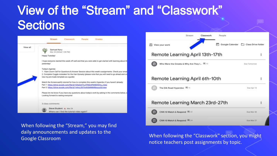### View of the "Stream" and "Classwork" **Sections**



When following the "Stream," you may find daily announcements and updates to the



adily anticallective the appeares to the more when following the "Classwork" section, you might Google Classroom notice teachers post assignments by topic.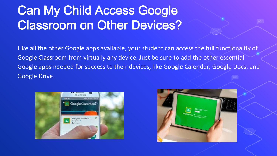## Can My Child Access Google Classroom on Other Devices?

Like all the other Google apps available, your student can access the full functionality of Google Classroom from virtually any device. Just be sure to add the other essential Google apps needed for success to their devices, like Google Calendar, Google Docs, and Google Drive.



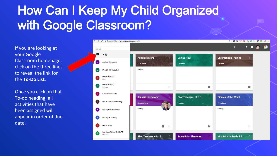## How Can I Keep My Child Organized with Google Classroom?

If you are looking at your Google Classroom homepage, click on the three lines to reveal the link for the **To-Do List**.

Once you click on that To-do heading, all activities that have been assigned will appear in order of due date.

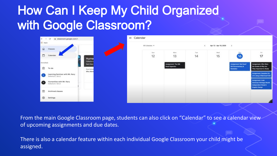### How Can I Keep My Child Organized with Google Classroom?

|                      | $\leftarrow$ $\rightarrow$ C a classroom.google.com/h |                       |  | $\equiv$ Calendar |               |                       |           |                       |                                 |  |
|----------------------|-------------------------------------------------------|-----------------------|--|-------------------|---------------|-----------------------|-----------|-----------------------|---------------------------------|--|
| III Apps             |                                                       |                       |  |                   | All classes * |                       |           | Apr 12 - Apr 18, 2020 | $\boldsymbol{y}$                |  |
| $\omega$             | Classes                                               |                       |  |                   |               |                       |           |                       |                                 |  |
| $\Box$               | Calendar                                              | Huma                  |  |                   | Sun<br>12     | Mon<br>13             | Tue<br>14 | Wed<br>15             | Thu:<br>16                      |  |
| Enrolled:            |                                                       | Cohorts 6<br>Sam Kary |  |                   |               | Assignment: The Silk. |           |                       | <b>Assignment</b> , Red Scarf   |  |
| 由                    | To-do                                                 | Due tomor<br>Who Were |  |                   |               | Road Hyperdoc         |           |                       | Girl Documentary &<br>Notetaker |  |
| Œ                    | Learning Seminar with Mr. Kary<br>Cohorte 6.1 & 6.2   |                       |  |                   |               |                       |           |                       |                                 |  |
| O                    | Humanities with Mr. Kary<br>Cohorts 6.1 & 6.2         |                       |  |                   |               |                       |           |                       |                                 |  |
| $\qquad \qquad \Box$ | Archived classes                                      |                       |  |                   |               |                       |           |                       |                                 |  |
| ⊛                    | Settings                                              |                       |  |                   |               |                       |           |                       |                                 |  |

From the main Google Classroom page, students can also click on "Calendar" to see a calendar view of upcoming assignments and due dates.

There is also a calendar feature within each individual Google Classroom your child might be assigned.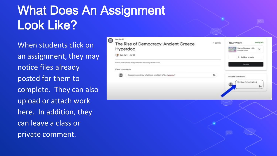# What Does An Assignment Look Like?

When students click on an assignment, they may notice files already posted for them to complete. They can also upload or attach work here. In addition, they can leave a class or private comment.